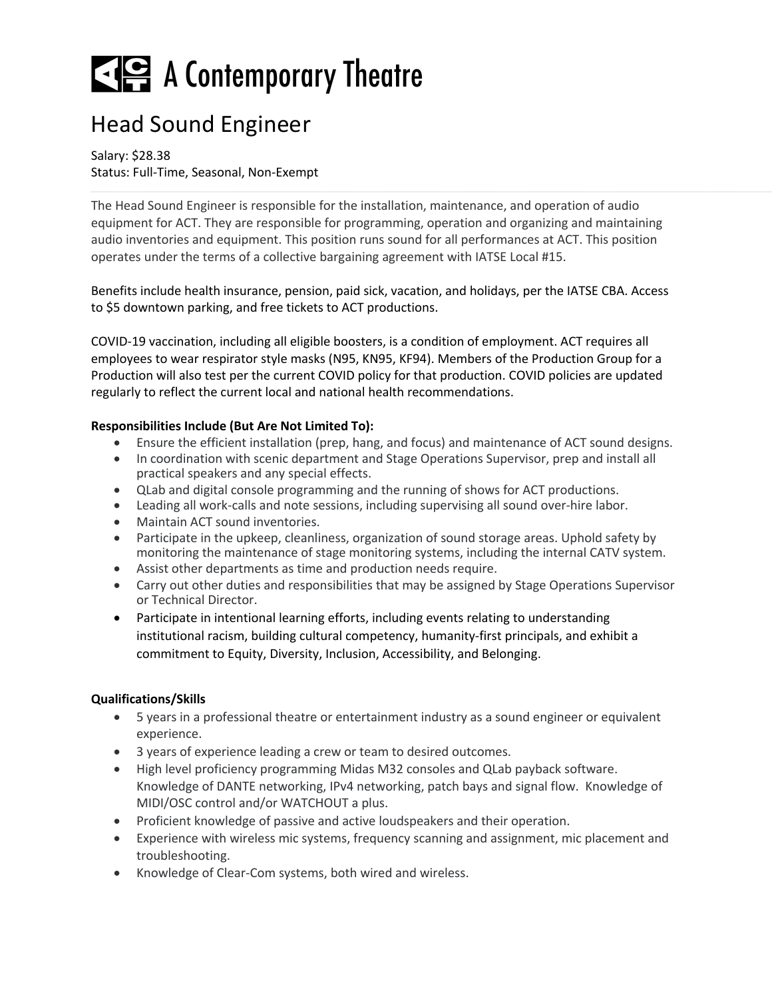# $\leq$   $\leq$  A Contemporary Theatre

### Head Sound Engineer

Salary: \$28.38 Status: Full-Time, Seasonal, Non-Exempt

The Head Sound Engineer is responsible for the installation, maintenance, and operation of audio equipment for ACT. They are responsible for programming, operation and organizing and maintaining audio inventories and equipment. This position runs sound for all performances at ACT. This position operates under the terms of a collective bargaining agreement with IATSE Local #15.

Benefits include health insurance, pension, paid sick, vacation, and holidays, per the IATSE CBA. Access to \$5 downtown parking, and free tickets to ACT productions.

COVID-19 vaccination, including all eligible boosters, is a condition of employment. ACT requires all employees to wear respirator style masks (N95, KN95, KF94). Members of the Production Group for a Production will also test per the current COVID policy for that production. COVID policies are updated regularly to reflect the current local and national health recommendations.

### **Responsibilities Include (But Are Not Limited To):**

- Ensure the efficient installation (prep, hang, and focus) and maintenance of ACT sound designs.
- In coordination with scenic department and Stage Operations Supervisor, prep and install all practical speakers and any special effects.
- QLab and digital console programming and the running of shows for ACT productions.
- Leading all work-calls and note sessions, including supervising all sound over-hire labor.
- Maintain ACT sound inventories.
- Participate in the upkeep, cleanliness, organization of sound storage areas. Uphold safety by monitoring the maintenance of stage monitoring systems, including the internal CATV system.
- Assist other departments as time and production needs require.
- Carry out other duties and responsibilities that may be assigned by Stage Operations Supervisor or Technical Director.
- Participate in intentional learning efforts, including events relating to understanding institutional racism, building cultural competency, humanity-first principals, and exhibit a commitment to Equity, Diversity, Inclusion, Accessibility, and Belonging.

### **Qualifications/Skills**

- 5 years in a professional theatre or entertainment industry as a sound engineer or equivalent experience.
- 3 years of experience leading a crew or team to desired outcomes.
- High level proficiency programming Midas M32 consoles and QLab payback software. Knowledge of DANTE networking, IPv4 networking, patch bays and signal flow. Knowledge of MIDI/OSC control and/or WATCHOUT a plus.
- Proficient knowledge of passive and active loudspeakers and their operation.
- Experience with wireless mic systems, frequency scanning and assignment, mic placement and troubleshooting.
- Knowledge of Clear-Com systems, both wired and wireless.